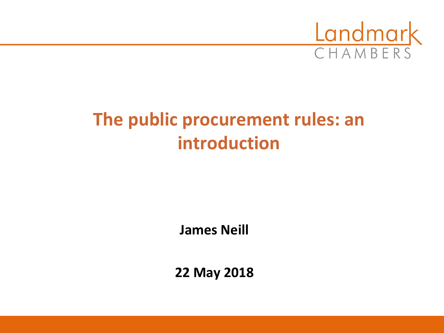

# **The public procurement rules: an introduction**

**James Neill**

**22 May 2018**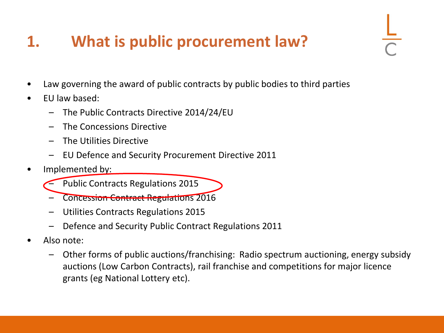## **1. What is public procurement law?**

- Law governing the award of public contracts by public bodies to third parties
- EU law based:
	- The Public Contracts Directive 2014/24/EU
	- The Concessions Directive
	- The Utilities Directive
	- EU Defence and Security Procurement Directive 2011
- Implemented by:
	- Public Contracts Regulations 2015
	- Concession Contract Regulations 2016
	- Utilities Contracts Regulations 2015
	- Defence and Security Public Contract Regulations 2011
- Also note:
	- Other forms of public auctions/franchising: Radio spectrum auctioning, energy subsidy auctions (Low Carbon Contracts), rail franchise and competitions for major licence grants (eg National Lottery etc).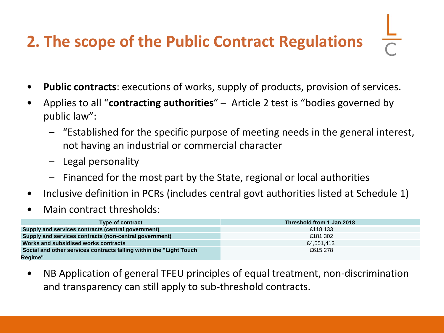# **2. The scope of the Public Contract Regulations**

- **Public contracts**: executions of works, supply of products, provision of services.
- Applies to all "**contracting authorities**" Article 2 test is "bodies governed by public law":
	- "Established for the specific purpose of meeting needs in the general interest, not having an industrial or commercial character
	- Legal personality
	- Financed for the most part by the State, regional or local authorities
- Inclusive definition in PCRs (includes central govt authorities listed at Schedule 1)
- Main contract thresholds:

| <b>Type of contract</b>                                              | Threshold from 1 Jan 2018 |
|----------------------------------------------------------------------|---------------------------|
| Supply and services contracts (central government)                   | £118.133                  |
| Supply and services contracts (non-central government)               | £181.302                  |
| Works and subsidised works contracts                                 | £4.551.413                |
| Social and other services contracts falling within the "Light Touch" | £615,278                  |
| Regime"                                                              |                           |

• NB Application of general TFEU principles of equal treatment, non-discrimination and transparency can still apply to sub-threshold contracts.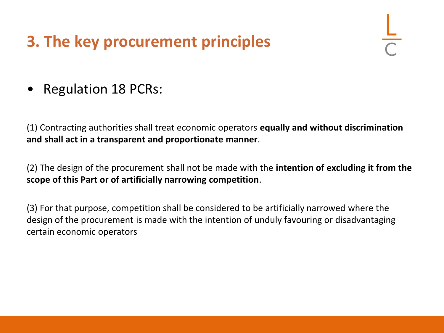## **3. The key procurement principles**

• Regulation 18 PCRs:

(1) Contracting authorities shall treat economic operators **equally and without discrimination and shall act in a transparent and proportionate manner**.

(2) The design of the procurement shall not be made with the **intention of excluding it from the scope of this Part or of artificially narrowing competition**.

(3) For that purpose, competition shall be considered to be artificially narrowed where the design of the procurement is made with the intention of unduly favouring or disadvantaging certain economic operators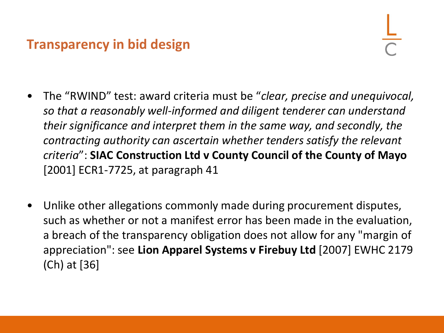#### **Transparency in bid design**

- The "RWIND" test: award criteria must be "*clear, precise and unequivocal, so that a reasonably well-informed and diligent tenderer can understand their significance and interpret them in the same way, and secondly, the contracting authority can ascertain whether tenders satisfy the relevant criteria*": **SIAC Construction Ltd v County Council of the County of Mayo**  [2001] ECR1-7725, at paragraph 41
- Unlike other allegations commonly made during procurement disputes, such as whether or not a manifest error has been made in the evaluation, a breach of the transparency obligation does not allow for any "margin of appreciation": see **Lion Apparel Systems v Firebuy Ltd** [2007] EWHC 2179 (Ch) at [36]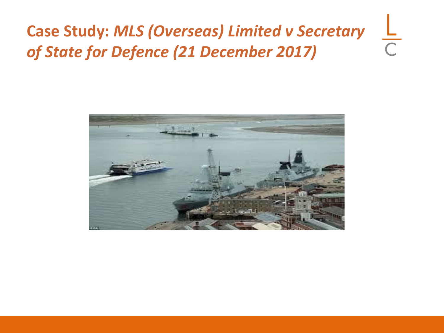#### **Case Study:** *MLS (Overseas) Limited v Secretary*   $\frac{L}{C}$ *of State for Defence (21 December 2017)*

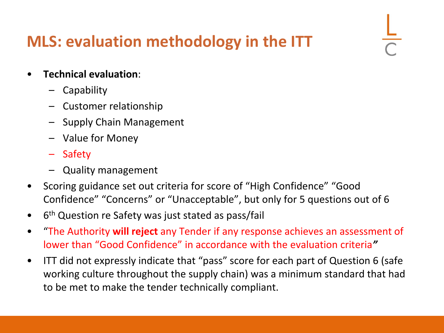### **MLS: evaluation methodology in the ITT**

- **Technical evaluation**:
	- Capability
	- Customer relationship
	- Supply Chain Management
	- Value for Money
	- **Safety**
	- Quality management
- Scoring guidance set out criteria for score of "High Confidence" "Good Confidence" "Concerns" or "Unacceptable", but only for 5 questions out of 6
- 6<sup>th</sup> Question re Safety was just stated as pass/fail
- "The Authority **will reject** any Tender if any response achieves an assessment of lower than "Good Confidence" in accordance with the evaluation criteria*"*
- ITT did not expressly indicate that "pass" score for each part of Question 6 (safe working culture throughout the supply chain) was a minimum standard that had to be met to make the tender technically compliant.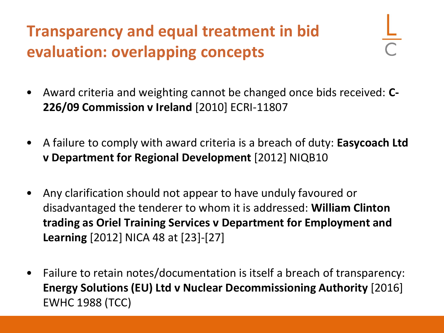## **Transparency and equal treatment in bid evaluation: overlapping concepts**

- Award criteria and weighting cannot be changed once bids received: **C-226/09 Commission v Ireland** [2010] ECRI-11807
- A failure to comply with award criteria is a breach of duty: **Easycoach Ltd v Department for Regional Development** [2012] NIQB10
- Any clarification should not appear to have unduly favoured or disadvantaged the tenderer to whom it is addressed: **William Clinton trading as Oriel Training Services v Department for Employment and Learning** [2012] NICA 48 at [23]-[27]
- Failure to retain notes/documentation is itself a breach of transparency: **Energy Solutions (EU) Ltd v Nuclear Decommissioning Authority** [2016] EWHC 1988 (TCC)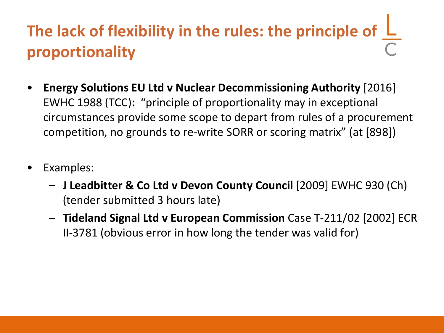# The lack of flexibility in the rules: the principle of  $L$ **proportionality**

- **Energy Solutions EU Ltd v Nuclear Decommissioning Authority** [2016] EWHC 1988 (TCC)**:** "principle of proportionality may in exceptional circumstances provide some scope to depart from rules of a procurement competition, no grounds to re-write SORR or scoring matrix" (at [898])
- Examples:
	- **J Leadbitter & Co Ltd v Devon County Council** [2009] EWHC 930 (Ch) (tender submitted 3 hours late)
	- **Tideland Signal Ltd v European Commission** Case T-211/02 [2002] ECR II-3781 (obvious error in how long the tender was valid for)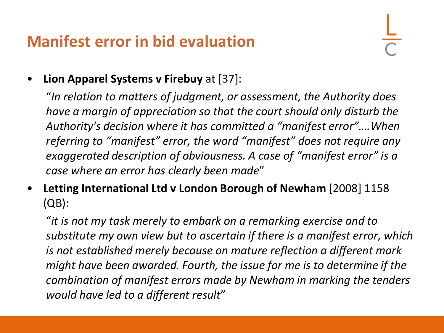#### **Manifest error in bid evaluation**

• **Lion Apparel Systems v Firebuy** at [37]:

"*In relation to matters of judgment, or assessment, the Authority does have a margin of appreciation so that the court should only disturb the Authority's decision where it has committed a "manifest error"….When referring to "manifest" error, the word "manifest" does not require any exaggerated description of obviousness. A case of "manifest error" is a case where an error has clearly been made*"

• **Letting International Ltd v London Borough of Newham** [2008] 1158 (QB):

"*it is not my task merely to embark on a remarking exercise and to substitute my own view but to ascertain if there is a manifest error, which is not established merely because on mature reflection a different mark might have been awarded. Fourth, the issue for me is to determine if the combination of manifest errors made by Newham in marking the tenders would have led to a different result*"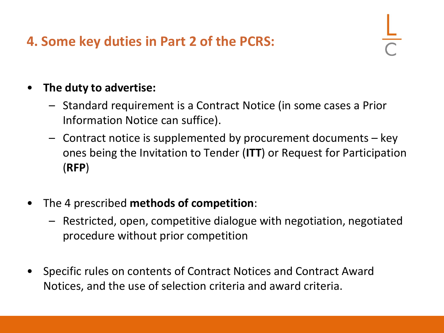#### **4. Some key duties in Part 2 of the PCRS:**

#### • **The duty to advertise:**

- Standard requirement is a Contract Notice (in some cases a Prior Information Notice can suffice).
- Contract notice is supplemented by procurement documents key ones being the Invitation to Tender (**ITT**) or Request for Participation (**RFP**)
- The 4 prescribed **methods of competition**:
	- Restricted, open, competitive dialogue with negotiation, negotiated procedure without prior competition
- Specific rules on contents of Contract Notices and Contract Award Notices, and the use of selection criteria and award criteria.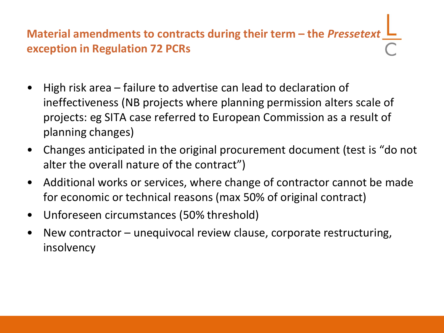**Material amendments to contracts during their term – the** *Pressetext* **exception in Regulation 72 PCRs**

- High risk area failure to advertise can lead to declaration of ineffectiveness (NB projects where planning permission alters scale of projects: eg SITA case referred to European Commission as a result of planning changes)
- Changes anticipated in the original procurement document (test is "do not alter the overall nature of the contract")
- Additional works or services, where change of contractor cannot be made for economic or technical reasons (max 50% of original contract)
- Unforeseen circumstances (50% threshold)
- New contractor unequivocal review clause, corporate restructuring, insolvency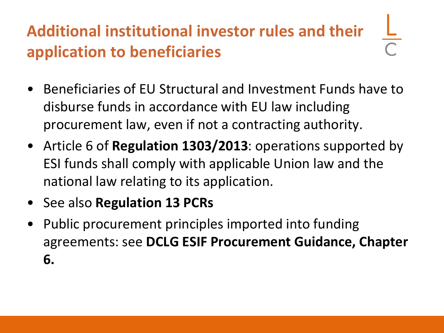## **Additional institutional investor rules and their application to beneficiaries**

- Beneficiaries of EU Structural and Investment Funds have to disburse funds in accordance with EU law including procurement law, even if not a contracting authority.
- Article 6 of **Regulation 1303/2013**: operations supported by ESI funds shall comply with applicable Union law and the national law relating to its application.
- See also **Regulation 13 PCRs**
- Public procurement principles imported into funding agreements: see **DCLG ESIF Procurement Guidance, Chapter 6.**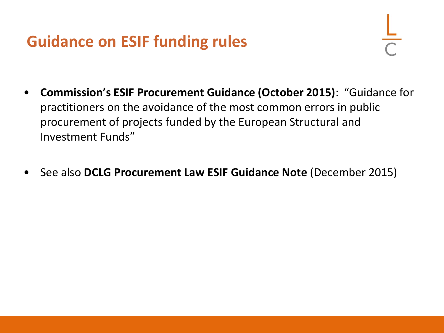#### **Guidance on ESIF funding rules**

- **Commission's ESIF Procurement Guidance (October 2015)**: "Guidance for practitioners on the avoidance of the most common errors in public procurement of projects funded by the European Structural and Investment Funds"
- See also **DCLG Procurement Law ESIF Guidance Note** (December 2015)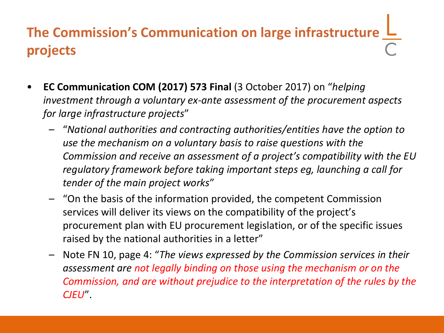## **The Commission's Communication on large infrastructure projects**

- **EC Communication COM (2017) 573 Final** (3 October 2017) on "*helping investment through a voluntary ex-ante assessment of the procurement aspects for large infrastructure projects*"
	- "*National authorities and contracting authorities/entities have the option to use the mechanism on a voluntary basis to raise questions with the Commission and receive an assessment of a project's compatibility with the EU regulatory framework before taking important steps eg, launching a call for tender of the main project works*"
	- "On the basis of the information provided, the competent Commission services will deliver its views on the compatibility of the project's procurement plan with EU procurement legislation, or of the specific issues raised by the national authorities in a letter"
	- Note FN 10, page 4: "*The views expressed by the Commission services in their assessment are not legally binding on those using the mechanism or on the Commission, and are without prejudice to the interpretation of the rules by the CJEU*".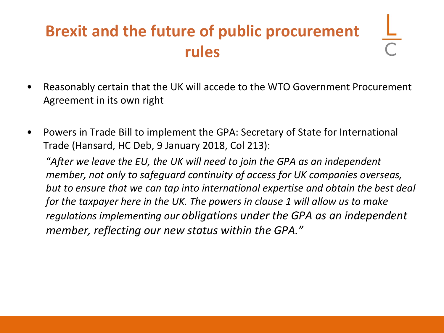## **Brexit and the future of public procurement rules**

- Reasonably certain that the UK will accede to the WTO Government Procurement Agreement in its own right
- Powers in Trade Bill to implement the GPA: Secretary of State for International Trade (Hansard, HC Deb, 9 January 2018, Col 213):

"*After we leave the EU, the UK will need to join the GPA as an independent member, not only to safeguard continuity of access for UK companies overseas, but to ensure that we can tap into international expertise and obtain the best deal for the taxpayer here in the UK. The powers in clause 1 will allow us to make regulations implementing our obligations under the GPA as an independent member, reflecting our new status within the GPA."*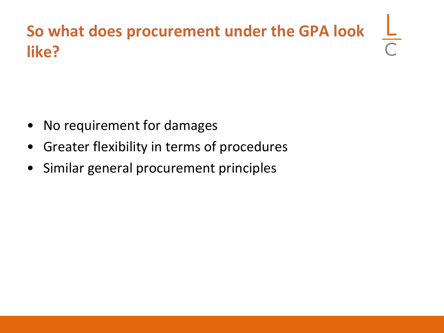## **So what does procurement under the GPA look like?**

- No requirement for damages
- Greater flexibility in terms of procedures
- Similar general procurement principles